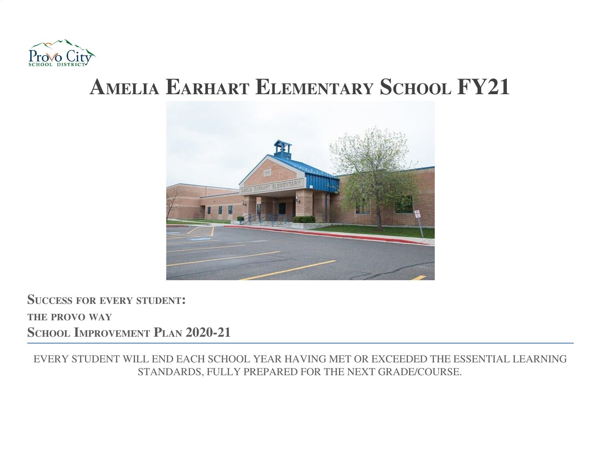

# **AMELIA EARHART ELEMENTARY SCHOOL FY21**



**SUCCESS FOR EVERY STUDENT: THE PROVO WAY SCHOOL IMPROVEMENT PLAN 2020-21**

EVERY STUDENT WILL END EACH SCHOOL YEAR HAVING MET OR EXCEEDED THE ESSENTIAL LEARNING STANDARDS, FULLY PREPARED FOR THE NEXT GRADE/COURSE.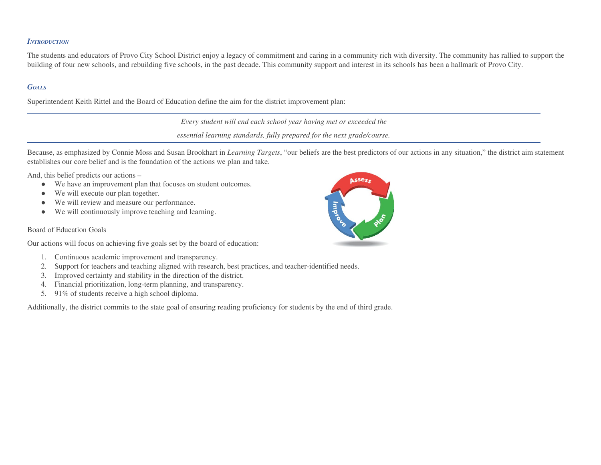## *INTRODUCTION*

The students and educators of Provo City School District enjoy a legacy of commitment and caring in a community rich with diversity. The community has rallied to support the building of four new schools, and rebuilding five schools, in the past decade. This community support and interest in its schools has been a hallmark of Provo City.

## *GOALS*

Superintendent Keith Rittel and the Board of Education define the aim for the district improvement plan:

*Every student will end each school year having met or exceeded the*

*essential learning standards, fully prepared for the next grade/course.*

Because, as emphasized by Connie Moss and Susan Brookhart in *Learning Targets*, "our beliefs are the best predictors of our actions in any situation," the district aim statement establishes our core belief and is the foundation of the actions we plan and take.

And, this belief predicts our actions –

- We have an improvement plan that focuses on student outcomes.
- We will execute our plan together.
- We will review and measure our performance.
- We will continuously improve teaching and learning.

## Board of Education Goals

Our actions will focus on achieving five goals set by the board of education:

- 1. Continuous academic improvement and transparency.
- 2. Support for teachers and teaching aligned with research, best practices, and teacher-identified needs.
- 3. Improved certainty and stability in the direction of the district.
- 4. Financial prioritization, long-term planning, and transparency.
- 5. 91% of students receive a high school diploma.

Additionally, the district commits to the state goal of ensuring reading proficiency for students by the end of third grade.

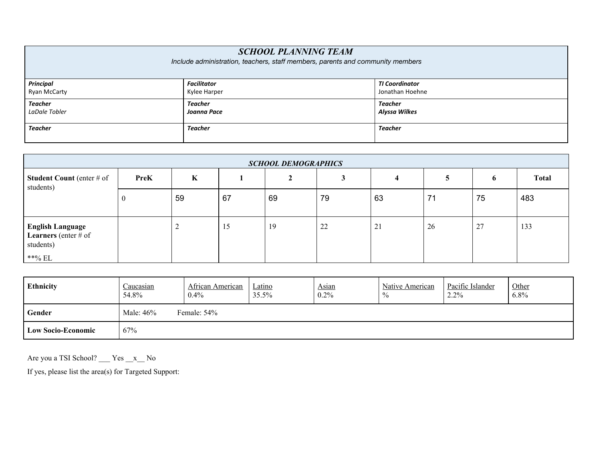| <b>SCHOOL PLANNING TEAM</b><br>Include administration, teachers, staff members, parents and community members |                    |                       |  |  |
|---------------------------------------------------------------------------------------------------------------|--------------------|-----------------------|--|--|
| <b>Principal</b>                                                                                              | <b>Facilitator</b> | <b>TI Coordinator</b> |  |  |
| <b>Ryan McCarty</b>                                                                                           | Kylee Harper       | Jonathan Hoehne       |  |  |
| Teacher                                                                                                       | Teacher            | Teacher               |  |  |
| LaDale Tobler                                                                                                 | Joanna Pace        | Alyssa Wilkes         |  |  |
| Teacher                                                                                                       | Teacher            | Teacher               |  |  |

| <b>SCHOOL DEMOGRAPHICS</b>                                                         |             |    |    |    |    |    |    |    |              |
|------------------------------------------------------------------------------------|-------------|----|----|----|----|----|----|----|--------------|
| <b>Student Count</b> (enter $#$ of<br>students)                                    | <b>PreK</b> | K  |    |    |    |    |    | 6  | <b>Total</b> |
|                                                                                    |             | 59 | 67 | 69 | 79 | 63 |    | 75 | 483          |
| <b>English Language</b><br><b>Learners</b> (enter $#$ of<br>students)<br>$**\%$ EL |             | ∠  | 12 | 19 | 22 | 21 | 26 | 27 | 133          |

| Ethnicity                 | Caucasian<br>54.8%       | African American<br>$0.4\%$ | Latino<br>35.5% | Asian<br>0.2% | Native American<br>$\frac{0}{0}$ | Pacific Islander<br>2.2% | Other<br>$6.8\%$ |
|---------------------------|--------------------------|-----------------------------|-----------------|---------------|----------------------------------|--------------------------|------------------|
| Gender                    | Male: 46%<br>Female: 54% |                             |                 |               |                                  |                          |                  |
| <b>Low Socio-Economic</b> | 67%                      |                             |                 |               |                                  |                          |                  |

Are you a TSI School? \_\_\_ Yes \_\_x\_\_ No

If yes, please list the area(s) for Targeted Support: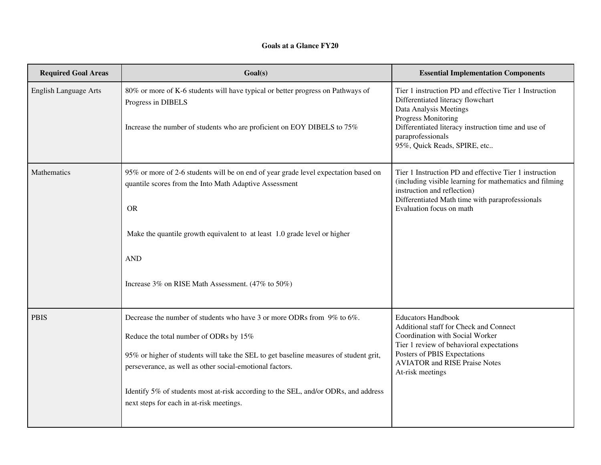## **Goals at a Glance FY20**

| <b>Required Goal Areas</b>   | Goal(s)                                                                                                                                                                                                                                                                                                                                                                                                  | <b>Essential Implementation Components</b>                                                                                                                                                                                                               |
|------------------------------|----------------------------------------------------------------------------------------------------------------------------------------------------------------------------------------------------------------------------------------------------------------------------------------------------------------------------------------------------------------------------------------------------------|----------------------------------------------------------------------------------------------------------------------------------------------------------------------------------------------------------------------------------------------------------|
| <b>English Language Arts</b> | 80% or more of K-6 students will have typical or better progress on Pathways of<br>Progress in DIBELS<br>Increase the number of students who are proficient on EOY DIBELS to 75%                                                                                                                                                                                                                         | Tier 1 instruction PD and effective Tier 1 Instruction<br>Differentiated literacy flowchart<br>Data Analysis Meetings<br>Progress Monitoring<br>Differentiated literacy instruction time and use of<br>paraprofessionals<br>95%, Quick Reads, SPIRE, etc |
| Mathematics                  | 95% or more of 2-6 students will be on end of year grade level expectation based on<br>quantile scores from the Into Math Adaptive Assessment<br><b>OR</b><br>Make the quantile growth equivalent to at least 1.0 grade level or higher<br><b>AND</b><br>Increase 3% on RISE Math Assessment. (47% to 50%)                                                                                               | Tier 1 Instruction PD and effective Tier 1 instruction<br>(including visible learning for mathematics and filming<br>instruction and reflection)<br>Differentiated Math time with paraprofessionals<br>Evaluation focus on math                          |
| <b>PBIS</b>                  | Decrease the number of students who have 3 or more ODRs from 9% to 6%.<br>Reduce the total number of ODRs by 15%<br>95% or higher of students will take the SEL to get baseline measures of student grit,<br>perseverance, as well as other social-emotional factors.<br>Identify 5% of students most at-risk according to the SEL, and/or ODRs, and address<br>next steps for each in at-risk meetings. | <b>Educators Handbook</b><br>Additional staff for Check and Connect<br>Coordination with Social Worker<br>Tier 1 review of behavioral expectations<br>Posters of PBIS Expectations<br><b>AVIATOR and RISE Praise Notes</b><br>At-risk meetings           |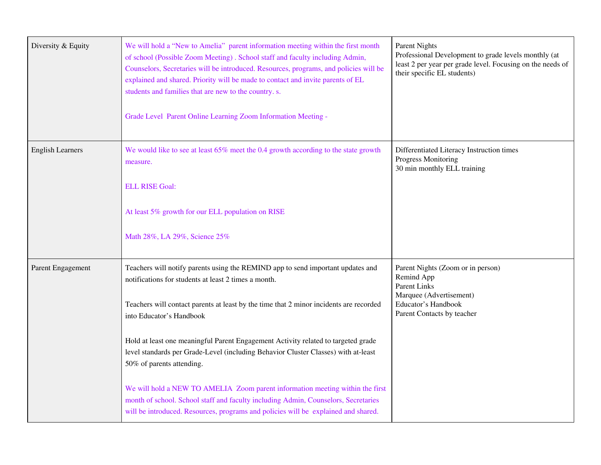| Diversity & Equity      | We will hold a "New to Amelia" parent information meeting within the first month<br>of school (Possible Zoom Meeting). School staff and faculty including Admin,<br>Counselors, Secretaries will be introduced. Resources, programs, and policies will be<br>explained and shared. Priority will be made to contact and invite parents of EL<br>students and families that are new to the country. s.<br>Grade Level Parent Online Learning Zoom Information Meeting - | <b>Parent Nights</b><br>Professional Development to grade levels monthly (at<br>least 2 per year per grade level. Focusing on the needs of<br>their specific EL students) |
|-------------------------|------------------------------------------------------------------------------------------------------------------------------------------------------------------------------------------------------------------------------------------------------------------------------------------------------------------------------------------------------------------------------------------------------------------------------------------------------------------------|---------------------------------------------------------------------------------------------------------------------------------------------------------------------------|
| <b>English Learners</b> | We would like to see at least 65% meet the 0.4 growth according to the state growth<br>measure.                                                                                                                                                                                                                                                                                                                                                                        | Differentiated Literacy Instruction times<br><b>Progress Monitoring</b><br>30 min monthly ELL training                                                                    |
|                         | <b>ELL RISE Goal:</b>                                                                                                                                                                                                                                                                                                                                                                                                                                                  |                                                                                                                                                                           |
|                         | At least 5% growth for our ELL population on RISE                                                                                                                                                                                                                                                                                                                                                                                                                      |                                                                                                                                                                           |
|                         | Math 28%, LA 29%, Science 25%                                                                                                                                                                                                                                                                                                                                                                                                                                          |                                                                                                                                                                           |
| Parent Engagement       | Teachers will notify parents using the REMIND app to send important updates and<br>notifications for students at least 2 times a month.                                                                                                                                                                                                                                                                                                                                | Parent Nights (Zoom or in person)<br>Remind App                                                                                                                           |
|                         | Teachers will contact parents at least by the time that 2 minor incidents are recorded<br>into Educator's Handbook                                                                                                                                                                                                                                                                                                                                                     | <b>Parent Links</b><br>Marquee (Advertisement)<br>Educator's Handbook<br>Parent Contacts by teacher                                                                       |
|                         | Hold at least one meaningful Parent Engagement Activity related to targeted grade<br>level standards per Grade-Level (including Behavior Cluster Classes) with at-least<br>50% of parents attending.                                                                                                                                                                                                                                                                   |                                                                                                                                                                           |
|                         | We will hold a NEW TO AMELIA Zoom parent information meeting within the first<br>month of school. School staff and faculty including Admin, Counselors, Secretaries<br>will be introduced. Resources, programs and policies will be explained and shared.                                                                                                                                                                                                              |                                                                                                                                                                           |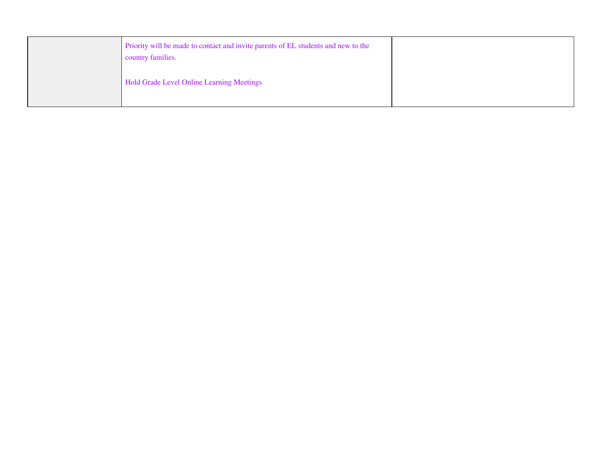| Priority will be made to contact and invite parents of EL students and new to the<br>country families. |  |
|--------------------------------------------------------------------------------------------------------|--|
| Hold Grade Level Online Learning Meetings                                                              |  |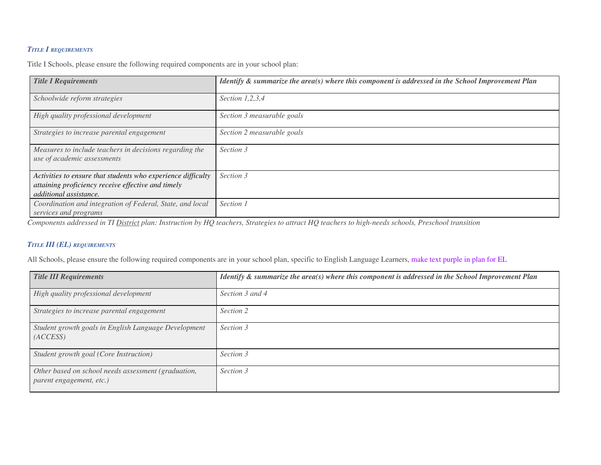## *TITLE I REQUIREMENTS*

Title I Schools, please ensure the following required components are in your school plan:

| <b>Title I Requirements</b>                                                                                                                  | Identify $\&$ summarize the area(s) where this component is addressed in the School Improvement Plan |
|----------------------------------------------------------------------------------------------------------------------------------------------|------------------------------------------------------------------------------------------------------|
| Schoolwide reform strategies                                                                                                                 | Section $1,2,3,4$                                                                                    |
| High quality professional development                                                                                                        | Section 3 measurable goals                                                                           |
| Strategies to increase parental engagement                                                                                                   | Section 2 measurable goals                                                                           |
| Measures to include teachers in decisions regarding the<br>use of academic assessments                                                       | Section 3                                                                                            |
| Activities to ensure that students who experience difficulty<br>attaining proficiency receive effective and timely<br>additional assistance. | Section 3                                                                                            |
| Coordination and integration of Federal, State, and local<br>services and programs                                                           | Section 1                                                                                            |

Components addressed in TI District plan: Instruction by HQ teachers, Strategies to attract HQ teachers to high-needs schools, Preschool transition

## *TITLE III (EL) REQUIREMENTS*

All Schools, please ensure the following required components are in your school plan, specific to English Language Learners, make text purple in plan for EL

| <b>Title III Requirements</b>                                                   | Identify $\&$ summarize the area(s) where this component is addressed in the School Improvement Plan |
|---------------------------------------------------------------------------------|------------------------------------------------------------------------------------------------------|
| High quality professional development                                           | Section 3 and 4                                                                                      |
| Strategies to increase parental engagement                                      | Section 2                                                                                            |
| Student growth goals in English Language Development<br>(ACCESS)                | Section 3                                                                                            |
| Student growth goal (Core Instruction)                                          | Section 3                                                                                            |
| Other based on school needs assessment (graduation,<br>parent engagement, etc.) | Section 3                                                                                            |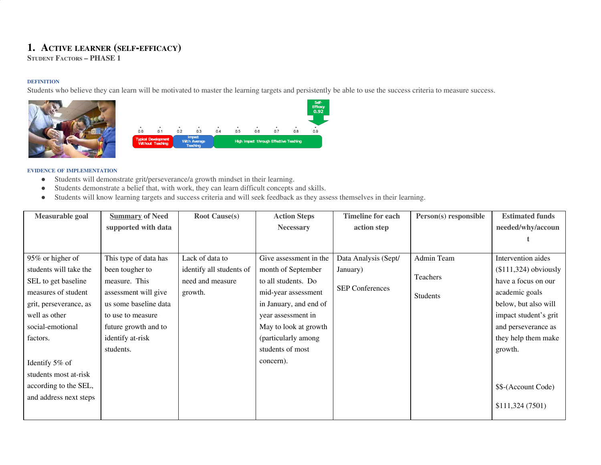# **1. ACTIVE LEARNER (SELF-EFFICACY)**

**STUDENT FACTORS – PHASE 1**

### **DEFINITION**

Students who believe they can learn will be motivated to master the learning targets and persistently be able to use the success criteria to measure success.





- Students will demonstrate grit/perseverance/a growth mindset in their learning.
- Students demonstrate a belief that, with work, they can learn difficult concepts and skills.
- Students will know learning targets and success criteria and will seek feedback as they assess themselves in their learning.

| Measurable goal        | <b>Summary of Need</b> | <b>Root Cause(s)</b>     | <b>Action Steps</b>    | <b>Timeline for each</b> | Person(s) responsible | <b>Estimated funds</b> |
|------------------------|------------------------|--------------------------|------------------------|--------------------------|-----------------------|------------------------|
|                        | supported with data    |                          | <b>Necessary</b>       | action step              |                       | needed/why/accoun      |
|                        |                        |                          |                        |                          |                       |                        |
|                        |                        |                          |                        |                          |                       |                        |
| 95% or higher of       | This type of data has  | Lack of data to          | Give assessment in the | Data Analysis (Sept/     | Admin Team            | Intervention aides     |
| students will take the | been tougher to        | identify all students of | month of September     | January)                 |                       | $($111,324)$ obviously |
| SEL to get baseline    | measure. This          | need and measure         | to all students. Do    |                          | Teachers              | have a focus on our    |
| measures of student    | assessment will give   | growth.                  | mid-year assessment    | <b>SEP Conferences</b>   | Students              | academic goals         |
| grit, perseverance, as | us some baseline data  |                          | in January, and end of |                          |                       | below, but also will   |
| well as other          | to use to measure      |                          | year assessment in     |                          |                       | impact student's grit  |
| social-emotional       | future growth and to   |                          | May to look at growth  |                          |                       | and perseverance as    |
| factors.               | identify at-risk       |                          | (particularly among    |                          |                       | they help them make    |
|                        | students.              |                          | students of most       |                          |                       | growth.                |
| Identify 5% of         |                        |                          | concern).              |                          |                       |                        |
| students most at-risk  |                        |                          |                        |                          |                       |                        |
| according to the SEL,  |                        |                          |                        |                          |                       | \$\$-(Account Code)    |
| and address next steps |                        |                          |                        |                          |                       |                        |
|                        |                        |                          |                        |                          |                       | \$111,324 (7501)       |
|                        |                        |                          |                        |                          |                       |                        |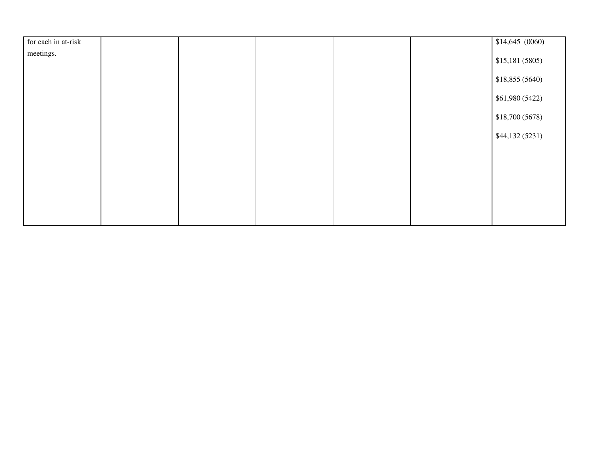| for each in at-risk |  |  | \$14,645(0060)  |
|---------------------|--|--|-----------------|
| meetings.           |  |  |                 |
|                     |  |  | \$15,181(5805)  |
|                     |  |  | \$18,855(5640)  |
|                     |  |  | \$61,980 (5422) |
|                     |  |  | \$18,700 (5678) |
|                     |  |  | \$44,132(5231)  |
|                     |  |  |                 |
|                     |  |  |                 |
|                     |  |  |                 |
|                     |  |  |                 |
|                     |  |  |                 |
|                     |  |  |                 |
|                     |  |  |                 |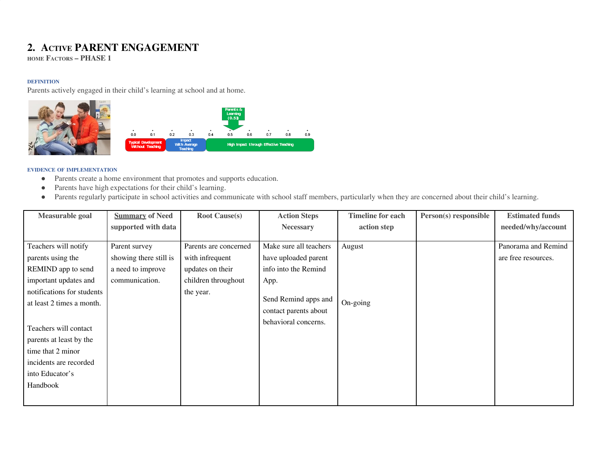# **2. ACTIVE PARENT ENGAGEMENT**

**HOME FACTORS – PHASE 1**

## **DEFINITION**

Parents actively engaged in their child's learning at school and at home.





- Parents create a home environment that promotes and supports education.
- Parents have high expectations for their child's learning.
- Parents regularly participate in school activities and communicate with school staff members, particularly when they are concerned about their child's learning.

| Measurable goal            | <b>Summary of Need</b> | <b>Root Cause(s)</b>  | <b>Action Steps</b>    | <b>Timeline for each</b> | Person(s) responsible | <b>Estimated funds</b> |
|----------------------------|------------------------|-----------------------|------------------------|--------------------------|-----------------------|------------------------|
|                            | supported with data    |                       | <b>Necessary</b>       | action step              |                       | needed/why/account     |
|                            |                        |                       |                        |                          |                       |                        |
| Teachers will notify       | Parent survey          | Parents are concerned | Make sure all teachers | August                   |                       | Panorama and Remind    |
| parents using the          | showing there still is | with infrequent       | have uploaded parent   |                          |                       | are free resources.    |
| REMIND app to send         | a need to improve      | updates on their      | info into the Remind   |                          |                       |                        |
| important updates and      | communication.         | children throughout   | App.                   |                          |                       |                        |
| notifications for students |                        | the year.             |                        |                          |                       |                        |
| at least 2 times a month.  |                        |                       |                        | On-going                 |                       |                        |
|                            |                        |                       | contact parents about  |                          |                       |                        |
|                            |                        |                       | behavioral concerns.   |                          |                       |                        |
|                            |                        |                       |                        |                          |                       |                        |
| parents at least by the    |                        |                       |                        |                          |                       |                        |
| time that 2 minor          |                        |                       |                        |                          |                       |                        |
| incidents are recorded     |                        |                       |                        |                          |                       |                        |
| into Educator's            |                        |                       |                        |                          |                       |                        |
| Handbook                   |                        |                       |                        |                          |                       |                        |
|                            |                        |                       |                        |                          |                       |                        |
| Teachers will contact      |                        |                       | Send Remind apps and   |                          |                       |                        |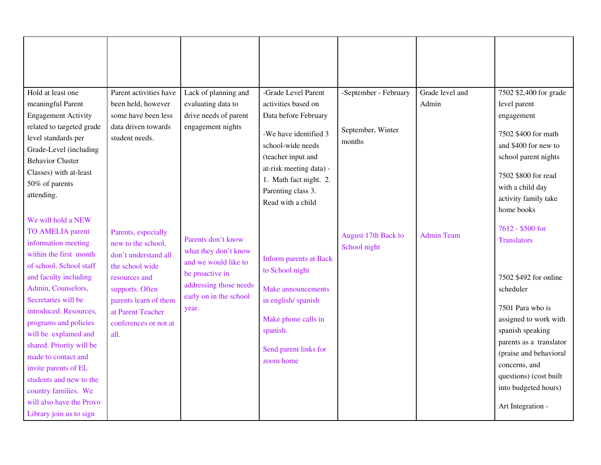| Hold at least one<br>meaningful Parent<br><b>Engagement Activity</b>                                                                                                                                                                                                                                                                                                                                                                                             | Parent activities have<br>been held, however<br>some have been less                                                                                                                                     | Lack of planning and<br>evaluating data to<br>drive needs of parent                                                                                | -Grade Level Parent<br>activities based on<br>Data before February                                                                                                           | -September - February               | Grade level and<br>Admin | 7502 \$2,400 for grade<br>level parent<br>engagement                                                                                                                                                                                                                                       |
|------------------------------------------------------------------------------------------------------------------------------------------------------------------------------------------------------------------------------------------------------------------------------------------------------------------------------------------------------------------------------------------------------------------------------------------------------------------|---------------------------------------------------------------------------------------------------------------------------------------------------------------------------------------------------------|----------------------------------------------------------------------------------------------------------------------------------------------------|------------------------------------------------------------------------------------------------------------------------------------------------------------------------------|-------------------------------------|--------------------------|--------------------------------------------------------------------------------------------------------------------------------------------------------------------------------------------------------------------------------------------------------------------------------------------|
| related to targeted grade<br>level standards per<br>Grade-Level (including<br><b>Behavior Cluster</b><br>Classes) with at-least<br>50% of parents<br>attending.                                                                                                                                                                                                                                                                                                  | data driven towards<br>student needs.                                                                                                                                                                   | engagement nights                                                                                                                                  | -We have identified 3<br>school-wide needs<br>(teacher input and<br>at-risk meeting data) -<br>1. Math fact night. 2.<br>Parenting class 3.<br>Read with a child             | September, Winter<br>months         |                          | 7502 \$400 for math<br>and \$400 for new to<br>school parent nights<br>7502 \$800 for read<br>with a child day<br>activity family take<br>home books                                                                                                                                       |
| We will hold a NEW<br><b>TO AMELIA parent</b><br>information meeting<br>within the first month<br>of school. School staff<br>and faculty including<br>Admin, Counselors,<br>Secretaries will be<br>introduced. Resources,<br>programs and policies<br>will be explained and<br>shared. Priority will be<br>made to contact and<br>invite parents of EL<br>students and new to the<br>country families. We<br>will also have the Provo<br>Library join us to sign | Parents, especially<br>new to the school,<br>don't understand all<br>the school wide<br>resources and<br>supports. Often<br>parents learn of them<br>at Parent Teacher<br>conferences or not at<br>all. | Parents don't know<br>what they don't know<br>and we would like to<br>be proactive in<br>addressing those needs<br>early on in the school<br>year. | <b>Inform parents at Back</b><br>to School night<br><b>Make announcements</b><br>in english/spanish<br>Make phone calls in<br>spanish.<br>Send parent links for<br>zoom home | August 17th Back to<br>School night | <b>Admin Team</b>        | 7612 - \$500 for<br><b>Translators</b><br>7502 \$492 for online<br>scheduler<br>7501 Para who is<br>assigned to work with<br>spanish speaking<br>parents as a translator<br>(praise and behavioral<br>concerns, and<br>questions) (cost built<br>into budgeted hours)<br>Art Integration - |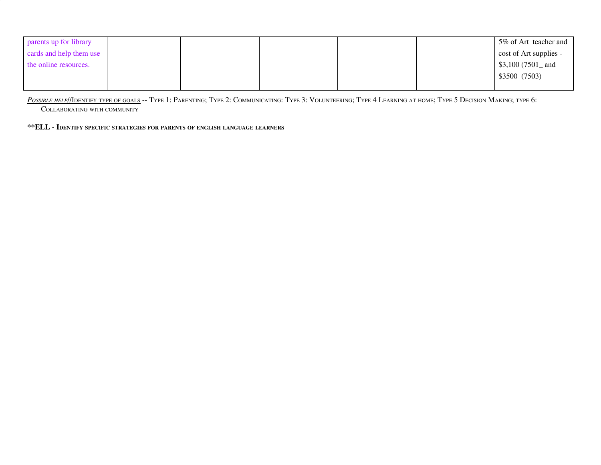| parents up for library  |  |  | 5% of Art teacher and  |
|-------------------------|--|--|------------------------|
| cards and help them use |  |  | cost of Art supplies - |
| the online resources.   |  |  | \$3,100 $(7501$ and    |
|                         |  |  | \$3500 (7503)          |
|                         |  |  |                        |

POSSIBLE HELP//IDENTIFY TYPE OF GOALS -- TYPE 1: PARENTING; TYPE 2: COMMUNICATING: TYPE 3: VOLUNTEERING; TYPE 4 LEARNING AT HOME; TYPE 5 DECISION MAKING; TYPE 6:

COLLABORATING WITH COMMUNITY

**\*\*ELL - IDENTIFY SPECIFIC STRATEGIES FOR PARENTS OF ENGLISH LANGUAGE LEARNERS**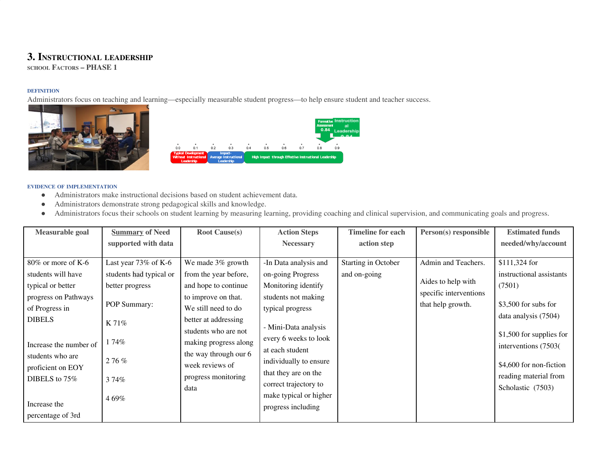## **3. INSTRUCTIONAL LEADERSHIP**

**SCHOOL FACTORS – PHASE 1**

## **DEFINITION**

Administrators focus on teaching and learning—especially measurable student progress—to help ensure student and teacher success.





- Administrators make instructional decisions based on student achievement data.
- Administrators demonstrate strong pedagogical skills and knowledge.
- Administrators focus their schools on student learning by measuring learning, providing coaching and clinical supervision, and communicating goals and progress.

| <b>Measurable goal</b> | <b>Summary of Need</b>  | <b>Root Cause(s)</b>  | <b>Action Steps</b>    | <b>Timeline for each</b> | Person(s) responsible  | <b>Estimated funds</b>   |
|------------------------|-------------------------|-----------------------|------------------------|--------------------------|------------------------|--------------------------|
|                        | supported with data     |                       | <b>Necessary</b>       | action step              |                        | needed/why/account       |
|                        |                         |                       |                        |                          |                        |                          |
| $80\%$ or more of K-6  | Last year $73\%$ of K-6 | We made 3% growth     | -In Data analysis and  | Starting in October      | Admin and Teachers.    | \$111,324 for            |
| students will have     | students had typical or | from the year before, | on-going Progress      | and on-going             |                        | instructional assistants |
| typical or better      | better progress         | and hope to continue  | Monitoring identify    |                          | Aides to help with     | (7501)                   |
| progress on Pathways   |                         | to improve on that.   | students not making    |                          | specific interventions |                          |
| of Progress in         | POP Summary:            | We still need to do   | typical progress       |                          | that help growth.      | $$3,500$ for subs for    |
| <b>DIBELS</b>          |                         | better at addressing  |                        |                          |                        | data analysis (7504)     |
|                        | $K$ 71%                 | students who are not  | - Mini-Data analysis   |                          |                        |                          |
|                        | . 74%                   | making progress along | every 6 weeks to look  |                          |                        | \$1,500 for supplies for |
| Increase the number of |                         | the way through our 6 | at each student        |                          |                        | interventions (7503)     |
| students who are       | 276%                    |                       | individually to ensure |                          |                        |                          |
| proficient on EOY      |                         | week reviews of       | that they are on the   |                          |                        | \$4,600 for non-fiction  |
| DIBELS to $75\%$       | 374%                    | progress monitoring   | correct trajectory to  |                          |                        | reading material from    |
|                        |                         | data                  |                        |                          |                        | Scholastic (7503)        |
| Increase the           | 469%                    |                       | make typical or higher |                          |                        |                          |
| percentage of 3rd      |                         |                       | progress including     |                          |                        |                          |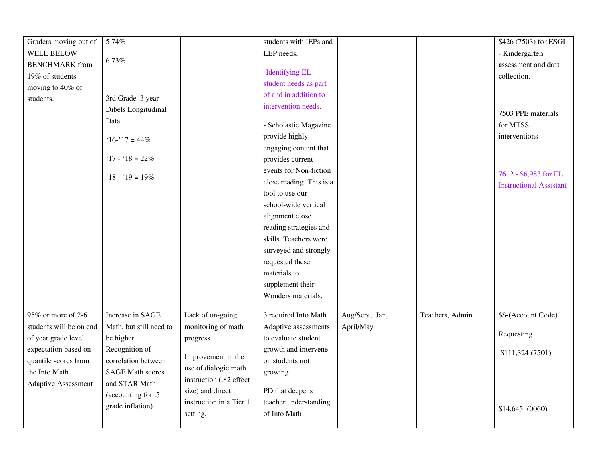| Graders moving out of      | 5 74%                   |                         | students with IEPs and   |                |                 | \$426 (7503) for ESGI          |
|----------------------------|-------------------------|-------------------------|--------------------------|----------------|-----------------|--------------------------------|
| <b>WELL BELOW</b>          |                         |                         | LEP needs.               |                |                 | - Kindergarten                 |
| <b>BENCHMARK</b> from      | 673%                    |                         |                          |                |                 | assessment and data            |
| 19% of students            |                         |                         | -Identifying EL          |                |                 | collection.                    |
| moving to 40% of           |                         |                         | student needs as part    |                |                 |                                |
| students.                  | 3rd Grade 3 year        |                         | of and in addition to    |                |                 |                                |
|                            | Dibels Longitudinal     |                         | intervention needs.      |                |                 | 7503 PPE materials             |
|                            | Data                    |                         | - Scholastic Magazine    |                |                 | for MTSS                       |
|                            | $16 - 17 = 44\%$        |                         | provide highly           |                |                 | interventions                  |
|                            |                         |                         | engaging content that    |                |                 |                                |
|                            | '17 - '18 = $22\%$      |                         | provides current         |                |                 |                                |
|                            |                         |                         | events for Non-fiction   |                |                 | 7612 - \$6,983 for EL          |
|                            | '18 - '19 = $19\%$      |                         | close reading. This is a |                |                 | <b>Instructional Assistant</b> |
|                            |                         |                         | tool to use our          |                |                 |                                |
|                            |                         |                         | school-wide vertical     |                |                 |                                |
|                            |                         |                         | alignment close          |                |                 |                                |
|                            |                         |                         | reading strategies and   |                |                 |                                |
|                            |                         |                         | skills. Teachers were    |                |                 |                                |
|                            |                         |                         | surveyed and strongly    |                |                 |                                |
|                            |                         |                         | requested these          |                |                 |                                |
|                            |                         |                         | materials to             |                |                 |                                |
|                            |                         |                         | supplement their         |                |                 |                                |
|                            |                         |                         | Wonders materials.       |                |                 |                                |
| 95% or more of 2-6         | Increase in SAGE        | Lack of on-going        | 3 required Into Math     | Aug/Sept, Jan, | Teachers, Admin | \$\$-(Account Code)            |
| students will be on end    | Math, but still need to | monitoring of math      | Adaptive assessments     | April/May      |                 |                                |
| of year grade level        | be higher.              | progress.               | to evaluate student      |                |                 | Requesting                     |
| expectation based on       | Recognition of          |                         | growth and intervene     |                |                 |                                |
| quantile scores from       | correlation between     | Improvement in the      | on students not          |                |                 | \$111,324 (7501)               |
| the Into Math              | <b>SAGE Math scores</b> | use of dialogic math    | growing.                 |                |                 |                                |
| <b>Adaptive Assessment</b> | and STAR Math           | instruction (.82 effect |                          |                |                 |                                |
|                            | (accounting for .5)     | size) and direct        | PD that deepens          |                |                 |                                |
|                            | grade inflation)        | instruction in a Tier 1 | teacher understanding    |                |                 | \$14,645(0060)                 |
|                            |                         | setting.                | of Into Math             |                |                 |                                |
|                            |                         |                         |                          |                |                 |                                |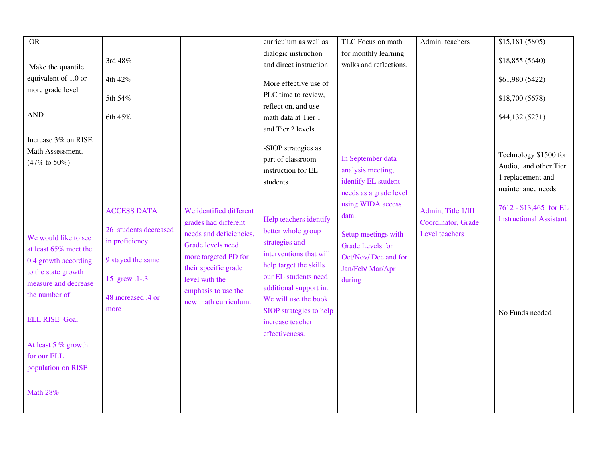| <b>OR</b>             |                       |                         | curriculum as well as   | TLC Focus on math       | Admin. teachers    | \$15,181 (5805)                |
|-----------------------|-----------------------|-------------------------|-------------------------|-------------------------|--------------------|--------------------------------|
|                       |                       |                         | dialogic instruction    | for monthly learning    |                    |                                |
|                       | 3rd 48%               |                         | and direct instruction  | walks and reflections.  |                    | \$18,855 (5640)                |
| Make the quantile     |                       |                         |                         |                         |                    |                                |
| equivalent of 1.0 or  | 4th 42%               |                         | More effective use of   |                         |                    | \$61,980 (5422)                |
| more grade level      |                       |                         | PLC time to review,     |                         |                    |                                |
|                       | 5th 54%               |                         | reflect on, and use     |                         |                    | \$18,700 (5678)                |
| <b>AND</b>            | 6th 45%               |                         | math data at Tier 1     |                         |                    | \$44,132 (5231)                |
|                       |                       |                         | and Tier 2 levels.      |                         |                    |                                |
| Increase 3% on RISE   |                       |                         |                         |                         |                    |                                |
| Math Assessment.      |                       |                         | -SIOP strategies as     |                         |                    |                                |
|                       |                       |                         | part of classroom       | In September data       |                    | Technology \$1500 for          |
| (47% to 50%)          |                       |                         | instruction for EL      | analysis meeting,       |                    | Audio, and other Tier          |
|                       |                       |                         | students                | identify EL student     |                    | 1 replacement and              |
|                       |                       |                         |                         | needs as a grade level  |                    | maintenance needs              |
|                       |                       |                         |                         | using WIDA access       |                    |                                |
|                       | <b>ACCESS DATA</b>    | We identified different |                         |                         | Admin, Title 1/III | 7612 - \$13,465 for EL         |
|                       |                       | grades had different    | Help teachers identify  | data.                   | Coordinator, Grade | <b>Instructional Assistant</b> |
|                       | 26 students decreased | needs and deficiencies. | better whole group      | Setup meetings with     | Level teachers     |                                |
| We would like to see  | in proficiency        | Grade levels need       | strategies and          | <b>Grade Levels for</b> |                    |                                |
| at least 65% meet the |                       | more targeted PD for    | interventions that will | Oct/Nov/Dec and for     |                    |                                |
| 0.4 growth according  | 9 stayed the same     | their specific grade    | help target the skills  | Jan/Feb/ Mar/Apr        |                    |                                |
| to the state growth   | 15 grew .1-.3         | level with the          | our EL students need    |                         |                    |                                |
| measure and decrease  |                       |                         | additional support in.  | during                  |                    |                                |
| the number of         | 48 increased .4 or    | emphasis to use the     | We will use the book    |                         |                    |                                |
|                       | more                  | new math curriculum.    | SIOP strategies to help |                         |                    |                                |
| <b>ELL RISE Goal</b>  |                       |                         | increase teacher        |                         |                    | No Funds needed                |
|                       |                       |                         |                         |                         |                    |                                |
|                       |                       |                         | effectiveness.          |                         |                    |                                |
| At least 5 % growth   |                       |                         |                         |                         |                    |                                |
| for our ELL           |                       |                         |                         |                         |                    |                                |
| population on RISE    |                       |                         |                         |                         |                    |                                |
|                       |                       |                         |                         |                         |                    |                                |
| <b>Math 28%</b>       |                       |                         |                         |                         |                    |                                |
|                       |                       |                         |                         |                         |                    |                                |
|                       |                       |                         |                         |                         |                    |                                |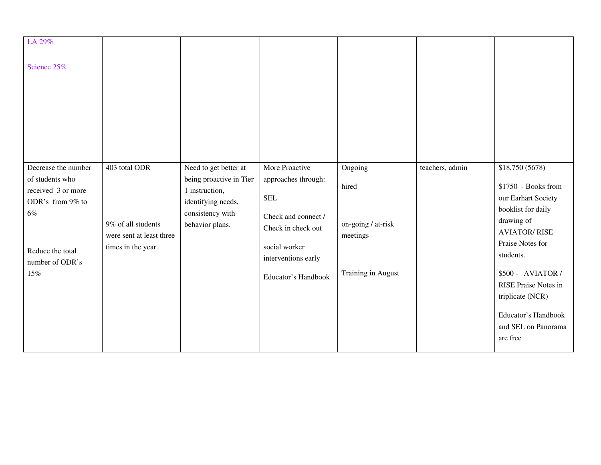| LA 29%<br>Science 25%                                                                                                                   |                                                                                       |                                                                                                                                 |                                                                                                                                                                 |                                                                          |                 |                                                                                                                                                                                                                                                                                      |
|-----------------------------------------------------------------------------------------------------------------------------------------|---------------------------------------------------------------------------------------|---------------------------------------------------------------------------------------------------------------------------------|-----------------------------------------------------------------------------------------------------------------------------------------------------------------|--------------------------------------------------------------------------|-----------------|--------------------------------------------------------------------------------------------------------------------------------------------------------------------------------------------------------------------------------------------------------------------------------------|
| Decrease the number<br>of students who<br>received 3 or more<br>ODR's from 9% to<br>$6\%$<br>Reduce the total<br>number of ODR's<br>15% | 403 total ODR<br>9% of all students<br>were sent at least three<br>times in the year. | Need to get better at<br>being proactive in Tier<br>1 instruction,<br>identifying needs,<br>consistency with<br>behavior plans. | More Proactive<br>approaches through:<br><b>SEL</b><br>Check and connect /<br>Check in check out<br>social worker<br>interventions early<br>Educator's Handbook | Ongoing<br>hired<br>on-going / at-risk<br>meetings<br>Training in August | teachers, admin | \$18,750 (5678)<br>\$1750 - Books from<br>our Earhart Society<br>booklist for daily<br>drawing of<br><b>AVIATOR/RISE</b><br>Praise Notes for<br>students.<br>\$500 - AVIATOR /<br>RISE Praise Notes in<br>triplicate (NCR)<br>Educator's Handbook<br>and SEL on Panorama<br>are free |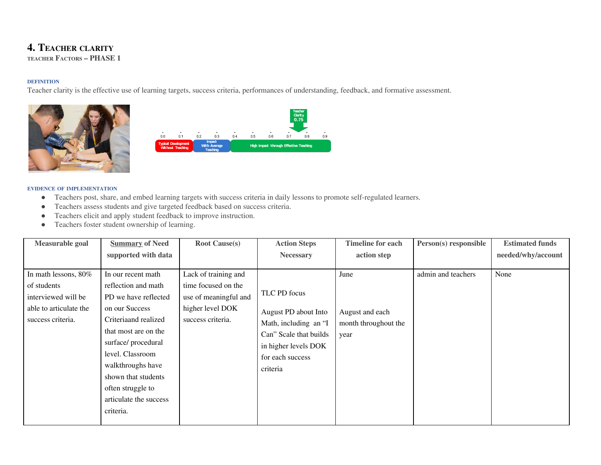# **4. TEACHER CLARITY**

**TEACHER FACTORS – PHASE 1**

## **DEFINITION**

Teacher clarity is the effective use of learning targets, success criteria, performances of understanding, feedback, and formative assessment.





- Teachers post, share, and embed learning targets with success criteria in daily lessons to promote self-regulated learners.
- Teachers assess students and give targeted feedback based on success criteria.
- Teachers elicit and apply student feedback to improve instruction.
- Teachers foster student ownership of learning.

| Measurable goal                                                                                           | <b>Summary of Need</b>                                                                                                                                                                             | <b>Root Cause(s)</b>                                                                                          | <b>Action Steps</b>                                                                                                                 | <b>Timeline for each</b>                                | Person(s) responsible | <b>Estimated funds</b> |
|-----------------------------------------------------------------------------------------------------------|----------------------------------------------------------------------------------------------------------------------------------------------------------------------------------------------------|---------------------------------------------------------------------------------------------------------------|-------------------------------------------------------------------------------------------------------------------------------------|---------------------------------------------------------|-----------------------|------------------------|
|                                                                                                           | supported with data                                                                                                                                                                                |                                                                                                               | <b>Necessary</b>                                                                                                                    | action step                                             |                       | needed/why/account     |
| In math lessons, 80%<br>of students<br>interviewed will be<br>able to articulate the<br>success criteria. | In our recent math<br>reflection and math<br>PD we have reflected<br>on our Success<br>Criteriaand realized<br>that most are on the<br>surface/procedural<br>level. Classroom<br>walkthroughs have | Lack of training and<br>time focused on the<br>use of meaningful and<br>higher level DOK<br>success criteria. | TLC PD focus<br>August PD about Into<br>Math, including an "I<br>Can" Scale that builds<br>in higher levels DOK<br>for each success | June<br>August and each<br>month throughout the<br>year | admin and teachers    | None                   |
|                                                                                                           | shown that students<br>often struggle to<br>articulate the success<br>criteria.                                                                                                                    |                                                                                                               | criteria                                                                                                                            |                                                         |                       |                        |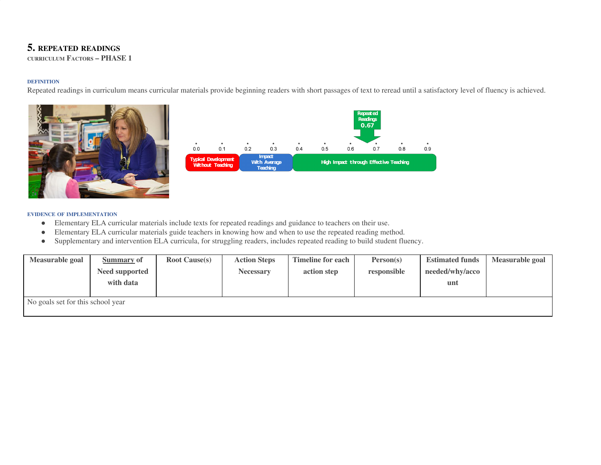# **5. REPEATED READINGS**

**CURRICULUM FACTORS – PHASE 1**

## **DEFINITION**

Repeated readings in curriculum means curricular materials provide beginning readers with short passages of text to reread until a satisfactory level of fluency is achieved.





- Elementary ELA curricular materials include texts for repeated readings and guidance to teachers on their use.
- Elementary ELA curricular materials guide teachers in knowing how and when to use the repeated reading method.
- Supplementary and intervention ELA curricula, for struggling readers, includes repeated reading to build student fluency.

| Measurable goal | <b>Estimated funds</b> | Person(s)   | <b>Timeline for each</b> | <b>Action Steps</b> | <b>Root Cause(s)</b> | <b>Summary of</b> | Measurable goal                   |
|-----------------|------------------------|-------------|--------------------------|---------------------|----------------------|-------------------|-----------------------------------|
|                 | needed/why/acco        | responsible | action step              | <b>Necessary</b>    |                      | Need supported    |                                   |
|                 | unt                    |             |                          |                     |                      | with data         |                                   |
|                 |                        |             |                          |                     |                      |                   |                                   |
|                 |                        |             |                          |                     |                      |                   | No goals set for this school year |
|                 |                        |             |                          |                     |                      |                   |                                   |